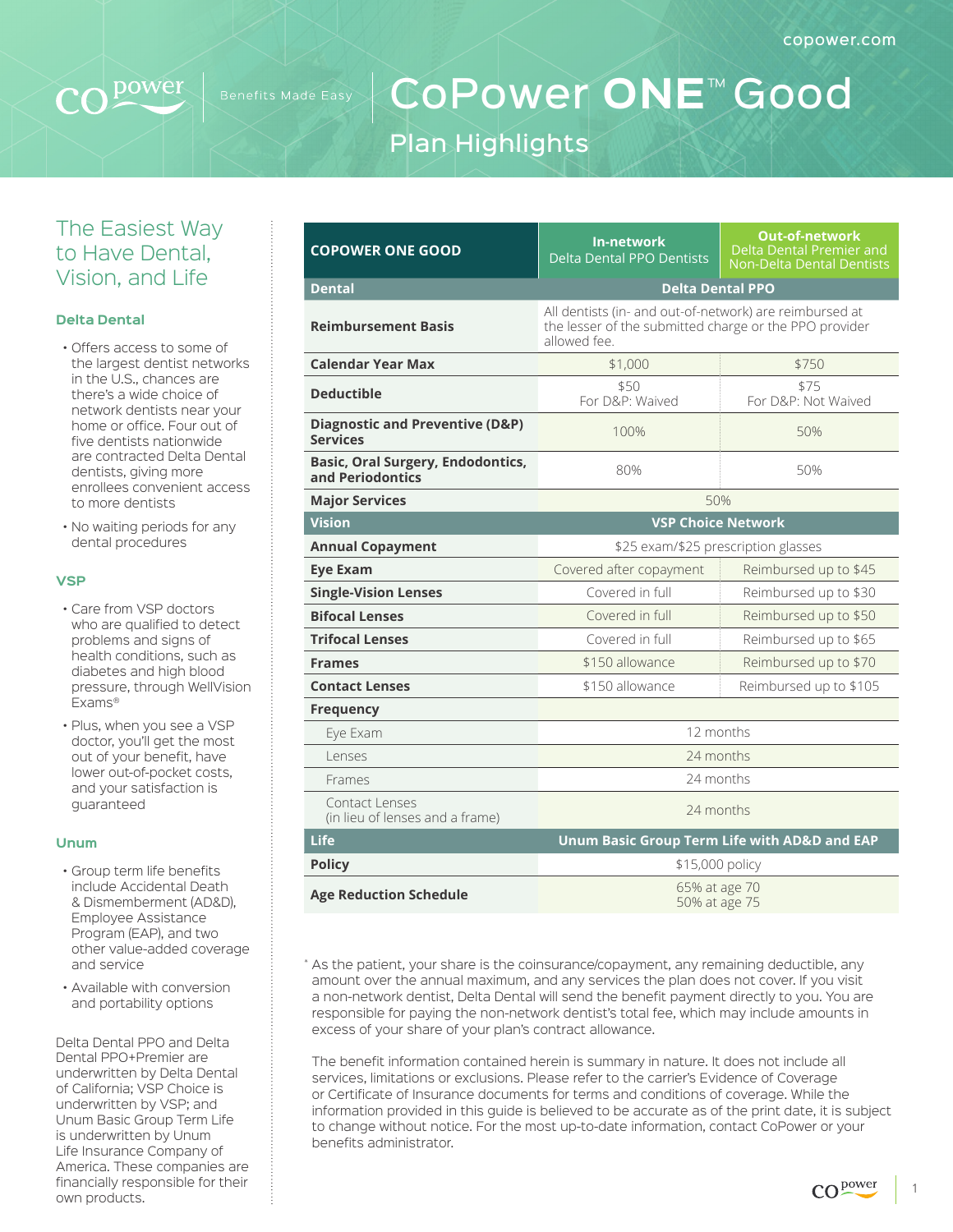

# CoPower **ONE**™ Good Plan Highlights

### The Easiest Way to Have Dental, Vision, and Life

#### **Delta Dental**

- Offers access to some of the largest dentist networks in the U.S., chances are there's a wide choice of network dentists near your home or office. Four out of five dentists nationwide are contracted Delta Dental dentists, giving more enrollees convenient access to more dentists
- No waiting periods for any dental procedures

#### **VSP**

- Care from VSP doctors who are qualified to detect problems and signs of health conditions, such as diabetes and high blood pressure, through WellVision Exams®
- Plus, when you see a VSP doctor, you'll get the most out of your benefit, have lower out-of-pocket costs, and your satisfaction is guaranteed

#### **Unum**

- Group term life benefits include Accidental Death & Dismemberment (AD&D), Employee Assistance Program (EAP), and two other value-added coverage and service
- Available with conversion and portability options

Delta Dental PPO and Delta Dental PPO+Premier are underwritten by Delta Dental of California; VSP Choice is underwritten by VSP; and Unum Basic Group Term Life is underwritten by Unum Life Insurance Company of America. These companies are financially responsible for their own products.

| <b>COPOWER ONE GOOD</b>                                       | <b>In-network</b><br><b>Delta Dental PPO Dentists</b>                                                                             | <b>Out-of-network</b><br>Delta Dental Premier and<br><b>Non-Delta Dental Dentists</b> |  |
|---------------------------------------------------------------|-----------------------------------------------------------------------------------------------------------------------------------|---------------------------------------------------------------------------------------|--|
| <b>Dental</b>                                                 | <b>Delta Dental PPO</b>                                                                                                           |                                                                                       |  |
| <b>Reimbursement Basis</b>                                    | All dentists (in- and out-of-network) are reimbursed at<br>the lesser of the submitted charge or the PPO provider<br>allowed fee. |                                                                                       |  |
| <b>Calendar Year Max</b>                                      | \$1,000<br>\$750                                                                                                                  |                                                                                       |  |
| <b>Deductible</b>                                             | \$50<br>For D&P: Waived                                                                                                           | \$75<br>For D&P: Not Waived                                                           |  |
| <b>Diagnostic and Preventive (D&amp;P)</b><br><b>Services</b> | 100%                                                                                                                              | 50%                                                                                   |  |
| <b>Basic, Oral Surgery, Endodontics,</b><br>and Periodontics  | 80%                                                                                                                               | 50%                                                                                   |  |
| <b>Major Services</b>                                         | 50%                                                                                                                               |                                                                                       |  |
| <b>Vision</b>                                                 | <b>VSP Choice Network</b>                                                                                                         |                                                                                       |  |
| <b>Annual Copayment</b>                                       | \$25 exam/\$25 prescription glasses                                                                                               |                                                                                       |  |
| <b>Eve Exam</b>                                               | Covered after copayment                                                                                                           | Reimbursed up to \$45                                                                 |  |
| <b>Single-Vision Lenses</b>                                   | Covered in full                                                                                                                   | Reimbursed up to \$30                                                                 |  |
| <b>Bifocal Lenses</b>                                         | Covered in full                                                                                                                   | Reimbursed up to \$50                                                                 |  |
| <b>Trifocal Lenses</b>                                        | Covered in full<br>Reimbursed up to \$65                                                                                          |                                                                                       |  |
| <b>Frames</b>                                                 | \$150 allowance<br>Reimbursed up to \$70                                                                                          |                                                                                       |  |
| <b>Contact Lenses</b>                                         | \$150 allowance                                                                                                                   | Reimbursed up to \$105                                                                |  |
| <b>Frequency</b>                                              |                                                                                                                                   |                                                                                       |  |
| Eye Exam                                                      | 12 months                                                                                                                         |                                                                                       |  |
| Lenses                                                        | 24 months                                                                                                                         |                                                                                       |  |
| Frames                                                        | 24 months                                                                                                                         |                                                                                       |  |
| Contact Lenses<br>(in lieu of lenses and a frame)             | 24 months                                                                                                                         |                                                                                       |  |
| Life                                                          | Unum Basic Group Term Life with AD&D and EAP                                                                                      |                                                                                       |  |
| <b>Policy</b>                                                 | \$15,000 policy                                                                                                                   |                                                                                       |  |
| <b>Age Reduction Schedule</b>                                 | 65% at age 70<br>50% at age 75                                                                                                    |                                                                                       |  |

\* As the patient, your share is the coinsurance/copayment, any remaining deductible, any amount over the annual maximum, and any services the plan does not cover. If you visit a non-network dentist, Delta Dental will send the benefit payment directly to you. You are responsible for paying the non-network dentist's total fee, which may include amounts in excess of your share of your plan's contract allowance.

The benefit information contained herein is summary in nature. It does not include all services, limitations or exclusions. Please refer to the carrier's Evidence of Coverage or Certificate of Insurance documents for terms and conditions of coverage. While the information provided in this guide is believed to be accurate as of the print date, it is subject to change without notice. For the most up-to-date information, contact CoPower or your benefits administrator.

1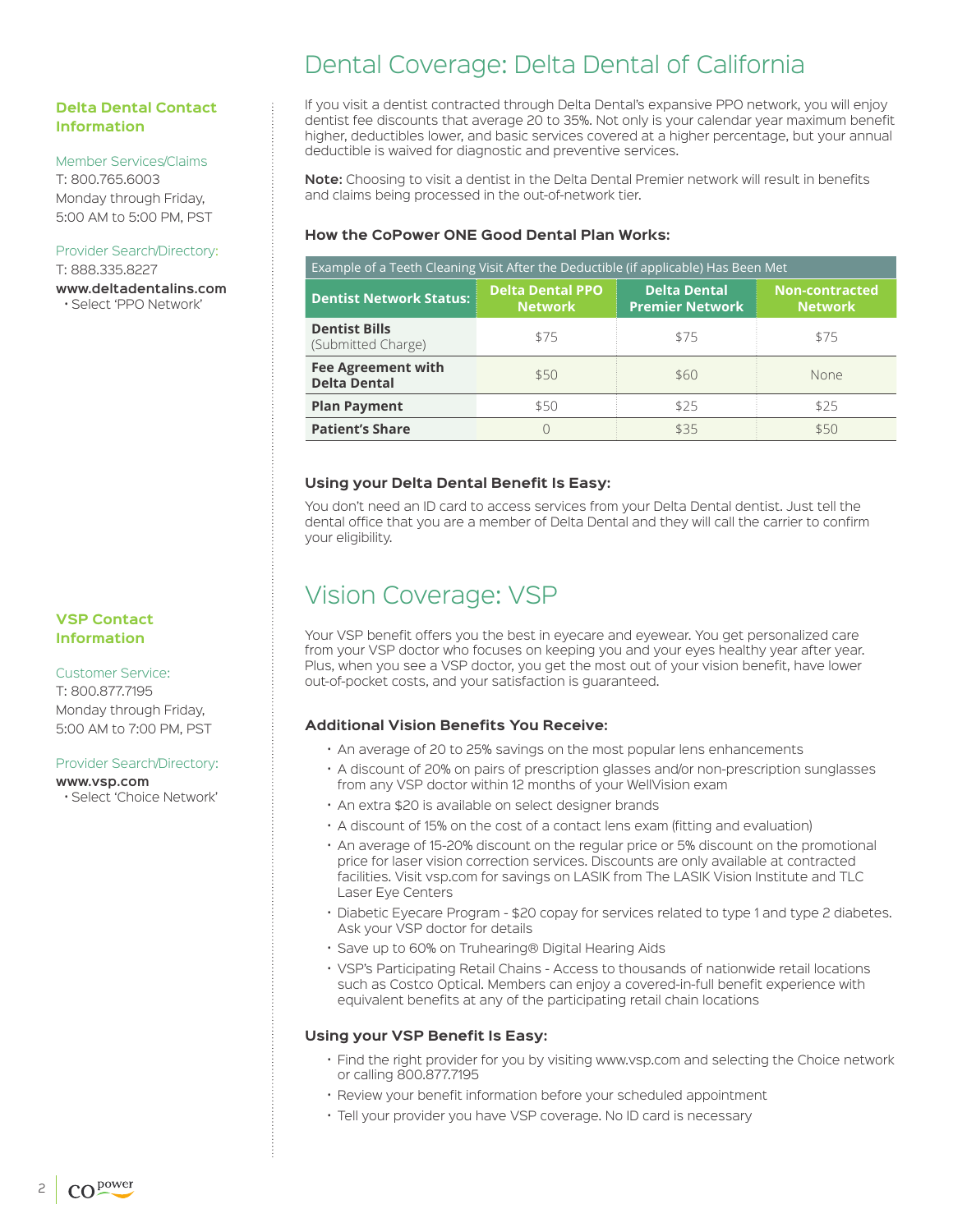#### **Delta Dental Contact Information**

#### Member Services/Claims

T: 800.765.6003 Monday through Friday, 5:00 AM to 5:00 PM, PST

#### Provider Search/Directory:

T: 888.335.8227 **www.deltadentalins.com** • Select 'PPO Network'

#### **VSP Contact Information**

Customer Service: T: 800.877.7195 Monday through Friday, 5:00 AM to 7:00 PM, PST

#### Provider Search/Directory:

**www.vsp.com**

• Select 'Choice Network'

## Dental Coverage: Delta Dental of California

If you visit a dentist contracted through Delta Dental's expansive PPO network, you will enjoy dentist fee discounts that average 20 to 35%. Not only is your calendar year maximum benefit higher, deductibles lower, and basic services covered at a higher percentage, but your annual deductible is waived for diagnostic and preventive services.

**Note:** Choosing to visit a dentist in the Delta Dental Premier network will result in benefits and claims being processed in the out-of-network tier.

#### **How the CoPower ONE Good Dental Plan Works:**

| Example of a Teeth Cleaning Visit After the Deductible (if applicable) Has Been Met |                                           |                                               |                                         |  |
|-------------------------------------------------------------------------------------|-------------------------------------------|-----------------------------------------------|-----------------------------------------|--|
| <b>Dentist Network Status:</b>                                                      | <b>Delta Dental PPO</b><br><b>Network</b> | <b>Delta Dental</b><br><b>Premier Network</b> | <b>Non-contracted</b><br><b>Network</b> |  |
| <b>Dentist Bills</b><br>(Submitted Charge)                                          | \$75                                      | \$75                                          | \$75                                    |  |
| <b>Fee Agreement with</b><br><b>Delta Dental</b>                                    | \$50                                      | \$60                                          | None                                    |  |
| <b>Plan Payment</b>                                                                 | \$50                                      | \$25                                          | \$25                                    |  |
| <b>Patient's Share</b>                                                              |                                           | \$35                                          | \$50                                    |  |

#### **Using your Delta Dental Benefit Is Easy:**

You don't need an ID card to access services from your Delta Dental dentist. Just tell the dental office that you are a member of Delta Dental and they will call the carrier to confirm your eligibility.

## Vision Coverage: VSP

Your VSP benefit offers you the best in eyecare and eyewear. You get personalized care from your VSP doctor who focuses on keeping you and your eyes healthy year after year. Plus, when you see a VSP doctor, you get the most out of your vision benefit, have lower out-of-pocket costs, and your satisfaction is guaranteed.

#### **Additional Vision Benefits You Receive:**

- An average of 20 to 25% savings on the most popular lens enhancements
- A discount of 20% on pairs of prescription glasses and/or non-prescription sunglasses from any VSP doctor within 12 months of your WellVision exam
- An extra \$20 is available on select designer brands
- A discount of 15% on the cost of a contact lens exam (fitting and evaluation)
- An average of 15-20% discount on the regular price or 5% discount on the promotional price for laser vision correction services. Discounts are only available at contracted facilities. Visit vsp.com for savings on LASIK from The LASIK Vision Institute and TLC Laser Eye Centers
- Diabetic Eyecare Program \$20 copay for services related to type 1 and type 2 diabetes. Ask your VSP doctor for details
- Save up to 60% on Truhearing® Digital Hearing Aids
- VSP's Participating Retail Chains Access to thousands of nationwide retail locations such as Costco Optical. Members can enjoy a covered-in-full benefit experience with equivalent benefits at any of the participating retail chain locations

#### **Using your VSP Benefit Is Easy:**

- Find the right provider for you by visiting www.vsp.com and selecting the Choice network or calling 800.877.7195
- Review your benefit information before your scheduled appointment
- Tell your provider you have VSP coverage. No ID card is necessary

2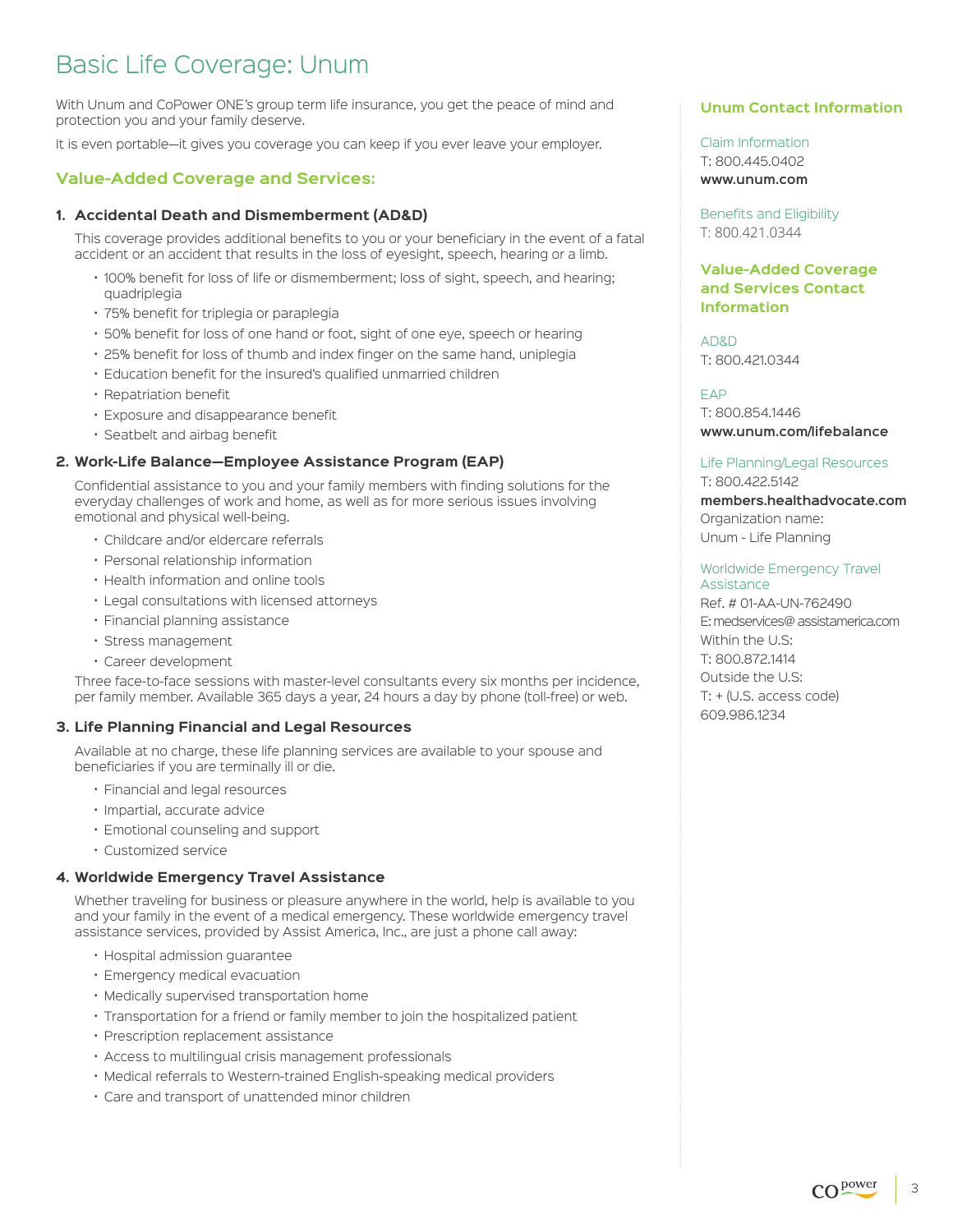## Basic Life Coverage: Unum

With Unum and CoPower ONE's group term life insurance, you get the peace of mind and protection you and your family deserve.

It is even portable—it gives you coverage you can keep if you ever leave your employer.

#### **Value-Added Coverage and Services:**

#### **1. Accidental Death and Dismemberment (AD&D)**

 This coverage provides additional benefits to you or your beneficiary in the event of a fatal accident or an accident that results in the loss of eyesight, speech, hearing or a limb.

- 100% benefit for loss of life or dismemberment; loss of sight, speech, and hearing; quadriplegia
- 75% benefit for triplegia or paraplegia
- 50% benefit for loss of one hand or foot, sight of one eye, speech or hearing
- 25% benefit for loss of thumb and index finger on the same hand, uniplegia
- Education benefit for the insured's qualified unmarried children
- Repatriation benefit
- Exposure and disappearance benefit
- Seatbelt and airbag benefit

#### **2. Work-Life Balance—Employee Assistance Program (EAP)**

 Confidential assistance to you and your family members with finding solutions for the everyday challenges of work and home, as well as for more serious issues involving emotional and physical well-being.

- Childcare and/or eldercare referrals
- Personal relationship information
- Health information and online tools
- Legal consultations with licensed attorneys
- Financial planning assistance
- Stress management
- Career development

 Three face-to-face sessions with master-level consultants every six months per incidence, per family member. Available 365 days a year, 24 hours a day by phone (toll-free) or web.

#### **3. Life Planning Financial and Legal Resources**

 Available at no charge, these life planning services are available to your spouse and beneficiaries if you are terminally ill or die.

- Financial and legal resources
- Impartial, accurate advice
- Emotional counseling and support
- Customized service

#### **4. Worldwide Emergency Travel Assistance**

 Whether traveling for business or pleasure anywhere in the world, help is available to you and your family in the event of a medical emergency. These worldwide emergency travel assistance services, provided by Assist America, Inc., are just a phone call away:

- Hospital admission guarantee
- Emergency medical evacuation
- Medically supervised transportation home
- Transportation for a friend or family member to join the hospitalized patient
- Prescription replacement assistance
- Access to multilingual crisis management professionals
- Medical referrals to Western-trained English-speaking medical providers
- Care and transport of unattended minor children

#### **Unum Contact Information**

Claim Information T: 800.445.0402 **www.unum.com**

Benefits and Eligibility T: 800.421.0344

#### **Value-Added Coverage and Services Contact Information**

AD&D T: 800.421.0344

EAP T: 800.854.1446 **[www.unum.com/lifebalance](https://www.unum.com/employees/services/life-balance)**

#### Life Planning/Legal Resources T: 800.422.5142

**[members.healthadvocate.com](https://members.healthadvocate.com/Account/OrganizationSearch)** Organization name: Unum - Life Planning

#### Worldwide Emergency Travel Assistance

Ref. # 01-AA-UN-762490 E: medservices@ assistamerica.com Within the U.S: T: 800.872.1414 Outside the U.S: T: + (U.S. access code) 609.986.1234

3